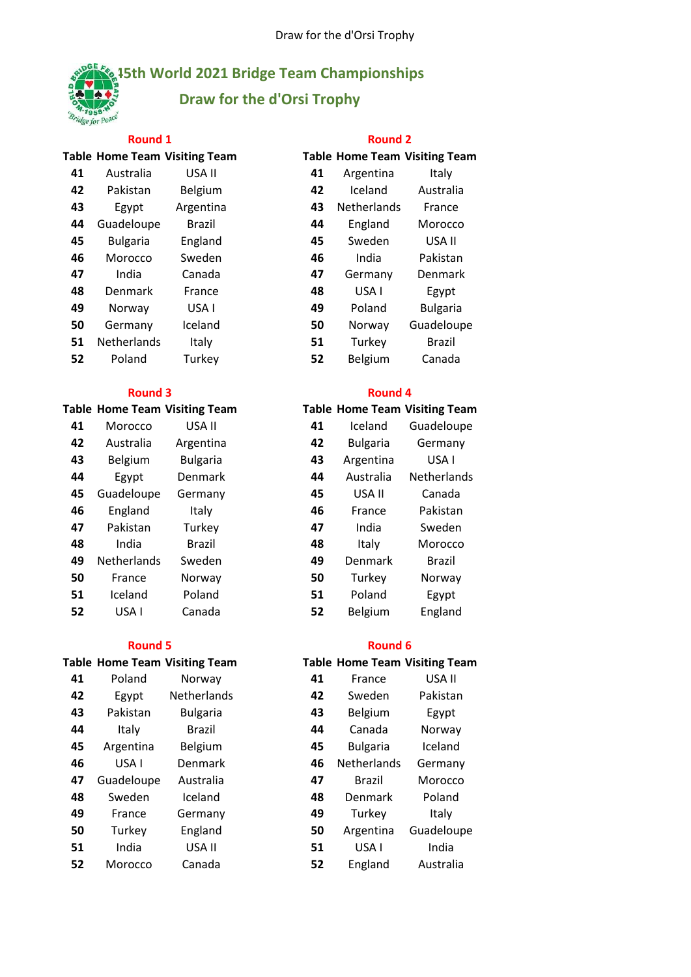# e for

# **45th World 2021 Bridge Team Championships Draw for the d'Orsi Trophy**

|    |                 | <b>Table Home Team Visiting Team</b> |    |                    | Table Home Team Visiting Tean |
|----|-----------------|--------------------------------------|----|--------------------|-------------------------------|
| 41 | Australia       | USA II                               | 41 | Argentina          | Italy                         |
| 42 | Pakistan        | Belgium                              | 42 | Iceland            | Australia                     |
| 43 | Egypt           | Argentina                            | 43 | <b>Netherlands</b> | France                        |
| 44 | Guadeloupe      | <b>Brazil</b>                        | 44 | England            | Morocco                       |
| 45 | <b>Bulgaria</b> | England                              | 45 | Sweden             | USA II                        |
| 46 | Morocco         | Sweden                               | 46 | India              | Pakistan                      |
| 47 | India           | Canada                               | 47 | Germany            | Denmark                       |
| 48 | Denmark         | France                               | 48 | USA I              | Egypt                         |
| 49 | Norway          | USA I                                | 49 | Poland             | <b>Bulgaria</b>               |
| 50 | Germany         | Iceland                              | 50 | Norway             | Guadeloupe                    |
| 51 | Netherlands     | Italy                                | 51 | Turkey             | <b>Brazil</b>                 |
| 52 | Poland          | Turkey                               | 52 | Belgium            | Canada                        |

### **Table Home Team Visiting Team**

| 41 | Morocco     | USA II          | 41 | Iceland         | Guadeloup     |
|----|-------------|-----------------|----|-----------------|---------------|
| 42 | Australia   | Argentina       | 42 | <b>Bulgaria</b> | Germany       |
| 43 | Belgium     | <b>Bulgaria</b> | 43 | Argentina       | USA I         |
| 44 | Egypt       | Denmark         | 44 | Australia       | Netherland    |
| 45 | Guadeloupe  | Germany         | 45 | USA II          | Canada        |
| 46 | England     | Italy           | 46 | France          | Pakistan      |
| 47 | Pakistan    | Turkey          | 47 | India           | Sweden        |
| 48 | India       | Brazil          | 48 | Italy           | Morocco       |
| 49 | Netherlands | Sweden          | 49 | Denmark         | <b>Brazil</b> |
| 50 | France      | Norway          | 50 | Turkey          | Norway        |
| 51 | Iceland     | Poland          | 51 | Poland          | Egypt         |
| 52 | USA I       | Canada          | 52 | Belgium         | England       |

### **Round 5 Round 6**

|    |            | <b>Table Home Team Visiting Team</b> |    |                 | <b>Table Home Team Visiting Tean</b> |
|----|------------|--------------------------------------|----|-----------------|--------------------------------------|
| 41 | Poland     | Norway                               | 41 | France          | USA II                               |
| 42 | Egypt      | Netherlands                          | 42 | Sweden          | Pakistan                             |
| 43 | Pakistan   | <b>Bulgaria</b>                      | 43 | Belgium         | Egypt                                |
| 44 | Italy      | <b>Brazil</b>                        | 44 | Canada          | Norway                               |
| 45 | Argentina  | Belgium                              | 45 | <b>Bulgaria</b> | Iceland                              |
| 46 | USA I      | <b>Denmark</b>                       | 46 | Netherlands     | Germany                              |
| 47 | Guadeloupe | Australia                            | 47 | <b>Brazil</b>   | Morocco                              |
| 48 | Sweden     | Iceland                              | 48 | Denmark         | Poland                               |
| 49 | France     | Germany                              | 49 | Turkey          | Italy                                |
| 50 | Turkey     | England                              | 50 | Argentina       | Guadeloupe                           |
| 51 | India      | USA II                               | 51 | USA I           | India                                |
| 52 | Morocco    | Canada                               | 52 | England         | Australia                            |
|    |            |                                      |    |                 |                                      |

| <b>Round 1</b> | <b>Round 2</b> |
|----------------|----------------|
|                |                |

|    |                    | <b>Table Home Team Visiting Team</b> |    |                    | <b>Table Home Team Visiting Team</b> |
|----|--------------------|--------------------------------------|----|--------------------|--------------------------------------|
| 41 | Australia          | USA II                               | 41 | Argentina          | Italy                                |
| 42 | Pakistan           | Belgium                              | 42 | Iceland            | Australia                            |
| 43 | Egypt              | Argentina                            | 43 | <b>Netherlands</b> | France                               |
| 44 | Guadeloupe         | <b>Brazil</b>                        | 44 | England            | Morocco                              |
| 45 | <b>Bulgaria</b>    | England                              | 45 | Sweden             | USA II                               |
| 46 | Morocco            | Sweden                               | 46 | India              | Pakistan                             |
| 47 | India              | Canada                               | 47 | Germany            | Denmark                              |
| 48 | Denmark            | France                               | 48 | USA I              | Egypt                                |
| 49 | Norway             | USA I                                | 49 | Poland             | <b>Bulgaria</b>                      |
| 50 | Germany            | Iceland                              | 50 | Norway             | Guadeloupe                           |
| 51 | <b>Netherlands</b> | Italy                                | 51 | Turkey             | <b>Brazil</b>                        |
| 52 | Poland             | Turkey                               | 52 | <b>Belgium</b>     | Canada                               |

### **Round 3 Round 4**

|    | able Home Team Visiting Team |                 |    |                 | <b>Table Home Team Visiting Team</b> |
|----|------------------------------|-----------------|----|-----------------|--------------------------------------|
| 41 | Morocco                      | USA II          | 41 | Iceland         | Guadeloupe                           |
| 42 | Australia                    | Argentina       | 42 | <b>Bulgaria</b> | Germany                              |
| 43 | Belgium                      | <b>Bulgaria</b> | 43 | Argentina       | USA <sub>I</sub>                     |
| 44 | Egypt                        | Denmark         | 44 | Australia       | Netherlands                          |
| 45 | Guadeloupe                   | Germany         | 45 | USA II          | Canada                               |
| 46 | England                      | Italy           | 46 | France          | Pakistan                             |
| 47 | Pakistan                     | Turkey          | 47 | India           | Sweden                               |
| 48 | India                        | <b>Brazil</b>   | 48 | Italy           | Morocco                              |
| 49 | <b>Netherlands</b>           | Sweden          | 49 | Denmark         | <b>Brazil</b>                        |
| 50 | France                       | Norway          | 50 | Turkey          | Norway                               |
| 51 | Iceland                      | Poland          | 51 | Poland          | Egypt                                |
| 52 | USA I                        | Canada          | 52 | Belgium         | England                              |
|    |                              |                 |    |                 |                                      |

### **Table Home Team Visiting Team Table Home Team Visiting Team**

| 41 | France      | USA II     |
|----|-------------|------------|
| 42 | Sweden      | Pakistan   |
| 43 | Belgium     | Egypt      |
| 44 | Canada      | Norway     |
| 45 | Bulgaria    | Iceland    |
| 46 | Netherlands | Germany    |
| 47 | Brazil      | Morocco    |
| 48 | Denmark     | Poland     |
| 49 | Turkey      | Italy      |
| 50 | Argentina   | Guadeloupe |
| 51 | USA I       | India      |
| 52 | England     | Australia  |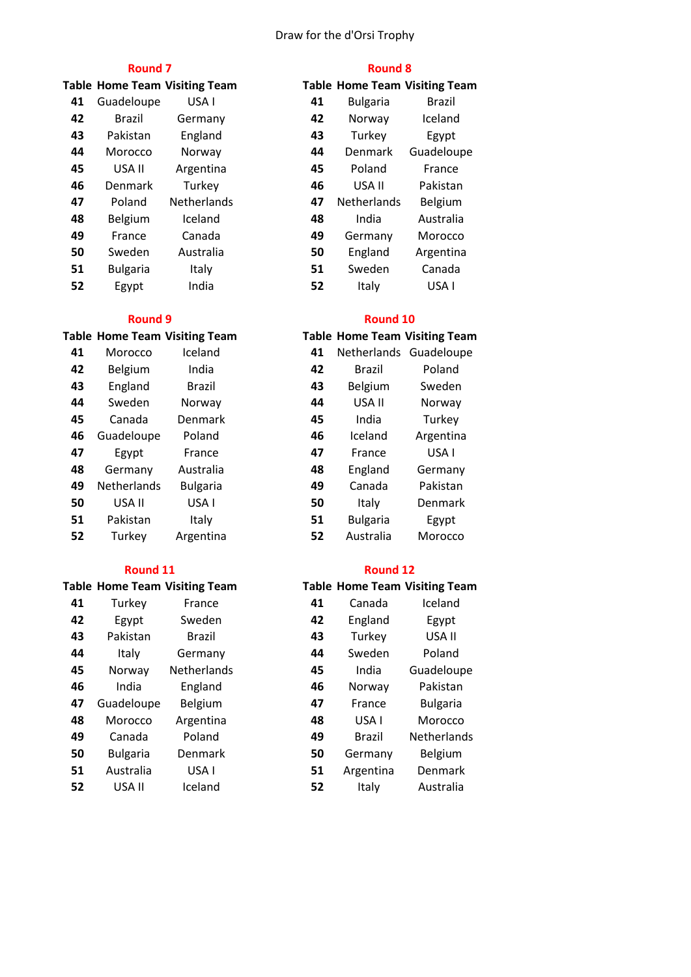### Draw for the d'Orsi Trophy

|    |                 | <b>Table Home Team Visiting Team</b> |    |                    | <b>Table Home Team Visiting Team</b> |
|----|-----------------|--------------------------------------|----|--------------------|--------------------------------------|
| 41 | Guadeloupe      | USA I                                | 41 | <b>Bulgaria</b>    | <b>Brazil</b>                        |
| 42 | <b>Brazil</b>   | Germany                              | 42 | Norway             | Iceland                              |
| 43 | Pakistan        | England                              | 43 | Turkey             | Egypt                                |
| 44 | Morocco         | Norway                               | 44 | Denmark            | Guadeloupe                           |
| 45 | USA II          | Argentina                            | 45 | Poland             | France                               |
| 46 | <b>Denmark</b>  | Turkey                               | 46 | USA II             | Pakistan                             |
| 47 | Poland          | <b>Netherlands</b>                   | 47 | <b>Netherlands</b> | Belgium                              |
| 48 | Belgium         | Iceland                              | 48 | India              | Australia                            |
| 49 | France          | Canada                               | 49 | Germany            | Morocco                              |
| 50 | Sweden          | Australia                            | 50 | England            | Argentina                            |
| 51 | <b>Bulgaria</b> | Italy                                | 51 | Sweden             | Canada                               |
| 52 | Egypt           | India                                | 52 | Italy              | USA I                                |

# Morocco Iceland **41** Netherlands Guadeloupe 42 Belgium India

| 43 | England            | <b>Brazil</b>   | 43 | Belgium         | Sweden           |
|----|--------------------|-----------------|----|-----------------|------------------|
| 44 | Sweden             | Norway          | 44 | USA II          | Norway           |
| 45 | Canada             | <b>Denmark</b>  | 45 | India           | Turkey           |
| 46 | Guadeloupe         | Poland          | 46 | Iceland         | Argentina        |
| 47 | Egypt              | France          | 47 | France          | USA <sub>I</sub> |
| 48 | Germany            | Australia       | 48 | England         | Germany          |
| 49 | <b>Netherlands</b> | <b>Bulgaria</b> | 49 | Canada          | Pakistan         |
| 50 | USA II             | USA I           | 50 | Italy           | Denmark          |
| 51 | Pakistan           | Italy           | 51 | <b>Bulgaria</b> | Egypt            |
| 52 | Turkey             | Argentina       | 52 | Australia       | Morocco          |
|    |                    |                 |    |                 |                  |

|    |                 | <b>Table Home Team Visiting Team</b> |    | <b>Table Home Team Visiting Tea</b> |                 |
|----|-----------------|--------------------------------------|----|-------------------------------------|-----------------|
| 41 | Turkey          | France                               | 41 | Canada                              | Iceland         |
| 42 | Egypt           | Sweden                               | 42 | England                             | Egypt           |
| 43 | Pakistan        | Brazil                               | 43 | Turkey                              | USA II          |
| 44 | Italy           | Germany                              | 44 | Sweden                              | Poland          |
| 45 | Norway          | Netherlands                          | 45 | India                               | Guadeloup       |
| 46 | India           | England                              | 46 | Norway                              | Pakistan        |
| 47 | Guadeloupe      | <b>Belgium</b>                       | 47 | France                              | <b>Bulgaria</b> |
| 48 | Morocco         | Argentina                            | 48 | USA I                               | Morocco         |
| 49 | Canada          | Poland                               | 49 | Brazil                              | Netherland      |
| 50 | <b>Bulgaria</b> | <b>Denmark</b>                       | 50 | Germany                             | Belgium         |
| 51 | Australia       | USA I                                | 51 | Argentina                           | Denmark         |
| 52 | USA II          | Iceland                              | 52 | Italy                               | Australia       |
|    |                 |                                      |    |                                     |                 |

### **Round 7 Round 8**

|    |                    | <b>Fable Home Team Visiting Team</b> |
|----|--------------------|--------------------------------------|
| 41 | <b>Bulgaria</b>    | Brazil                               |
| 42 | Norwav             | Iceland                              |
| 43 | Turkey             | Egypt                                |
| 44 | Denmark            | Guadeloupe                           |
| 45 | Poland             | France                               |
| 46 | USA II             | Pakistan                             |
| 47 | <b>Netherlands</b> | Belgium                              |
| 48 | India              | Australia                            |
| 49 | Germany            | Morocco                              |
| 50 | England            | Argentina                            |
| 51 | Sweden             | Canada                               |
| 52 | Italv              | USA I                                |
|    |                    |                                      |

### **Round 9 Round 10**

# **Table Home Team Visiting Team Table Home Team Visiting Team**

| 41 | ivetheriands    | Guadeloupe |
|----|-----------------|------------|
| 42 | Brazil          | Poland     |
| 43 | Belgium         | Sweden     |
| 44 | USA II          | Norway     |
| 45 | India           | Turkey     |
| 46 | Iceland         | Argentina  |
| 47 | France          | USA I      |
| 48 | England         | Germany    |
| 49 | Canada          | Pakistan   |
| 50 | Italy           | Denmark    |
| 51 | <b>Bulgaria</b> | Egypt      |
| 52 | Australia       | Morocco    |

# **Table Home Team Visiting Team Table Home Team Visiting Team** 42 England Egypt 44 Sweden Poland India Guadeloupe France Bulgaria 49 Brazil Netherlands Germany Belgium Argentina Denmark **Round 11 Round 12**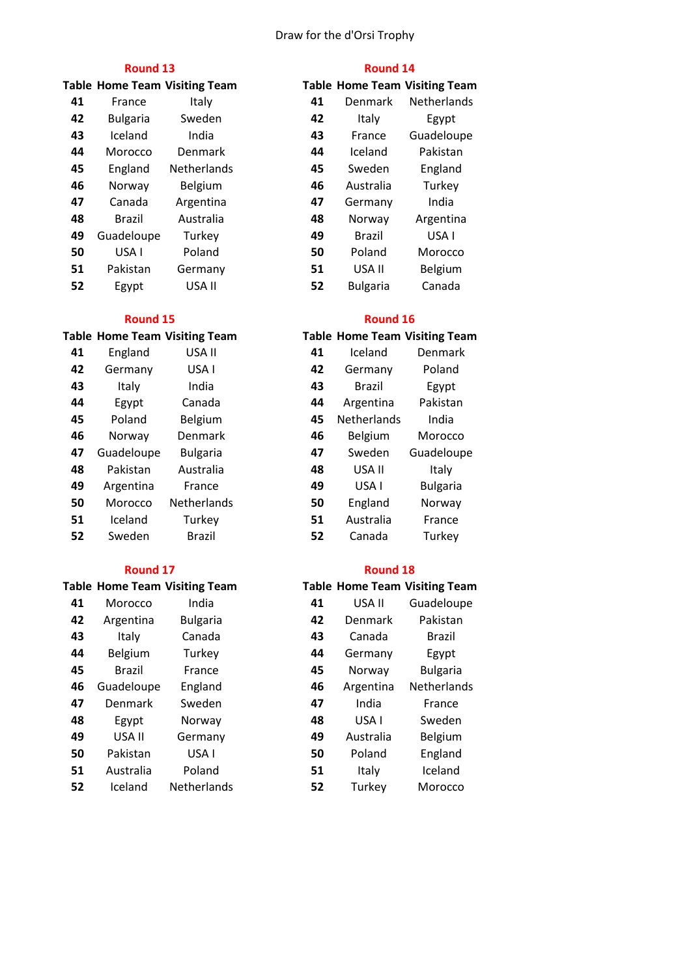### Draw for the d'Orsi Trophy

|    |                 | <b>Table Home Team Visiting Team</b> |    |                 | <b>Table Home Team Visiting Team</b> |
|----|-----------------|--------------------------------------|----|-----------------|--------------------------------------|
| 41 | France          | Italy                                | 41 | Denmark         | <b>Netherlands</b>                   |
| 42 | <b>Bulgaria</b> | Sweden                               | 42 | Italy           | Egypt                                |
| 43 | Iceland         | India                                | 43 | France          | Guadeloupe                           |
| 44 | Morocco         | Denmark                              | 44 | Iceland         | Pakistan                             |
| 45 | England         | Netherlands                          | 45 | Sweden          | England                              |
| 46 | Norway          | Belgium                              | 46 | Australia       | Turkey                               |
| 47 | Canada          | Argentina                            | 47 | Germany         | India                                |
| 48 | <b>Brazil</b>   | Australia                            | 48 | Norway          | Argentina                            |
| 49 | Guadeloupe      | Turkey                               | 49 | Brazil          | USA <sub>I</sub>                     |
| 50 | USA I           | Poland                               | 50 | Poland          | Morocco                              |
| 51 | Pakistan        | Germany                              | 51 | USA II          | Belgium                              |
| 52 | Egypt           | USA II                               | 52 | <b>Bulgaria</b> | Canada                               |

| <b>Round 15</b> |                                      |                 |    | <b>Round 16</b>                      |                 |
|-----------------|--------------------------------------|-----------------|----|--------------------------------------|-----------------|
|                 | <b>Table Home Team Visiting Team</b> |                 |    | <b>Table Home Team Visiting Tean</b> |                 |
| 41              | England                              | USA II          | 41 | Iceland                              | Denmark         |
| 42              | Germany                              | USA I           | 42 | Germany                              | Poland          |
| 43              | Italy                                | India           | 43 | Brazil                               | Egypt           |
| 44              | Egypt                                | Canada          | 44 | Argentina                            | Pakistan        |
| 45              | Poland                               | Belgium         | 45 | <b>Netherlands</b>                   | India           |
| 46              | Norway                               | Denmark         | 46 | Belgium                              | Morocco         |
| 47              | Guadeloupe                           | <b>Bulgaria</b> | 47 | Sweden                               | Guadeloupe      |
| 48              | Pakistan                             | Australia       | 48 | USA II                               | Italy           |
| 49              | Argentina                            | France          | 49 | USA I                                | <b>Bulgaria</b> |
| 50              | Morocco                              | Netherlands     | 50 | England                              | Norway          |
| 51              | Iceland                              | Turkey          | 51 | Australia                            | France          |
| 52              | Sweden                               | <b>Brazil</b>   | 52 | Canada                               | Turkey          |

|    |            | Table Home Team Visiting Team |    |           | Table Home Team Visiting Tean |
|----|------------|-------------------------------|----|-----------|-------------------------------|
| 41 | Morocco    | India                         | 41 | USA II    | Guadeloupe                    |
| 42 | Argentina  | <b>Bulgaria</b>               | 42 | Denmark   | Pakistan                      |
| 43 | Italy      | Canada                        | 43 | Canada    | Brazil                        |
| 44 | Belgium    | Turkey                        | 44 | Germany   | Egypt                         |
| 45 | Brazil     | France                        | 45 | Norway    | <b>Bulgaria</b>               |
| 46 | Guadeloupe | England                       | 46 | Argentina | Netherlands                   |
| 47 | Denmark    | Sweden                        | 47 | India     | France                        |
| 48 | Egypt      | Norway                        | 48 | USA I     | Sweden                        |
| 49 | USA II     | Germany                       | 49 | Australia | Belgium                       |
| 50 | Pakistan   | USA I                         | 50 | Poland    | England                       |
| 51 | Australia  | Poland                        | 51 | Italy     | Iceland                       |
| 52 | Iceland    | Netherlands                   | 52 | Turkey    | Morocco                       |

|    | <b>Round 13</b> |                              |    | <b>Round 14</b> |                                      |  |
|----|-----------------|------------------------------|----|-----------------|--------------------------------------|--|
|    |                 | able Home Team Visiting Team |    |                 | <b>Table Home Team Visiting Team</b> |  |
| 41 | France          | Italy                        | 41 | Denmark         | Netherlands                          |  |
| 42 | <b>Bulgaria</b> | Sweden                       | 42 | Italy           | Egypt                                |  |
| 43 | Iceland         | India                        | 43 | France          | Guadeloupe                           |  |
| 44 | Morocco         | Denmark                      | 44 | Iceland         | Pakistan                             |  |
| 45 | England         | <b>Netherlands</b>           | 45 | Sweden          | England                              |  |
| 46 | Norway          | Belgium                      | 46 | Australia       | Turkey                               |  |
| 47 | Canada          | Argentina                    | 47 | Germany         | India                                |  |
| 48 | <b>Brazil</b>   | Australia                    | 48 | Norway          | Argentina                            |  |
| 49 | Guadeloupe      | Turkey                       | 49 | <b>Brazil</b>   | USA I                                |  |
| 50 | USA I           | Poland                       | 50 | Poland          | Morocco                              |  |
| 51 | Pakistan        | Germany                      | 51 | USA II          | Belgium                              |  |
| 52 | Egypt           | USA II                       | 52 | <b>Bulgaria</b> | Canada                               |  |
|    |                 |                              |    |                 |                                      |  |

### **Table Home Team Visiting Team**

| 41 | Iceland       | Denmark         |
|----|---------------|-----------------|
| 42 | Germany       | Poland          |
| 43 | <b>Brazil</b> | Egypt           |
| 44 | Argentina     | Pakistan        |
| 45 | Netherlands   | India           |
| 46 | Belgium       | Morocco         |
| 47 | Sweden        | Guadeloupe      |
| 48 | USA II        | Italy           |
| 49 | USA I         | <b>Bulgaria</b> |
| 50 | England       | Norway          |
| 51 | Australia     | France          |
| 52 | Canada        | Turkey          |

| <b>Round 17</b> |                |                                      |    | <b>Round 18</b> |                                      |  |  |
|-----------------|----------------|--------------------------------------|----|-----------------|--------------------------------------|--|--|
|                 |                | <b>Table Home Team Visiting Team</b> |    |                 | <b>Table Home Team Visiting Team</b> |  |  |
| 41              | Morocco        | India                                | 41 | USA II          | Guadeloupe                           |  |  |
| 42              | Argentina      | <b>Bulgaria</b>                      | 42 | Denmark         | Pakistan                             |  |  |
| 43              | Italy          | Canada                               | 43 | Canada          | <b>Brazil</b>                        |  |  |
| 44              | Belgium        | Turkey                               | 44 | Germany         | Egypt                                |  |  |
| 45              | Brazil         | France                               | 45 | Norway          | <b>Bulgaria</b>                      |  |  |
| 46              | Guadeloupe     | England                              | 46 | Argentina       | Netherlands                          |  |  |
| 47              | <b>Denmark</b> | Sweden                               | 47 | India           | France                               |  |  |
| 48              | Egypt          | Norway                               | 48 | USA I           | Sweden                               |  |  |
| 49              | USA II         | Germany                              | 49 | Australia       | Belgium                              |  |  |
| 50              | Pakistan       | USA I                                | 50 | Poland          | England                              |  |  |
| 51              | Australia      | Poland                               | 51 | Italy           | Iceland                              |  |  |
| 52              | Iceland        | <b>Netherlands</b>                   | 52 | Turkey          | Morocco                              |  |  |
|                 |                |                                      |    |                 |                                      |  |  |